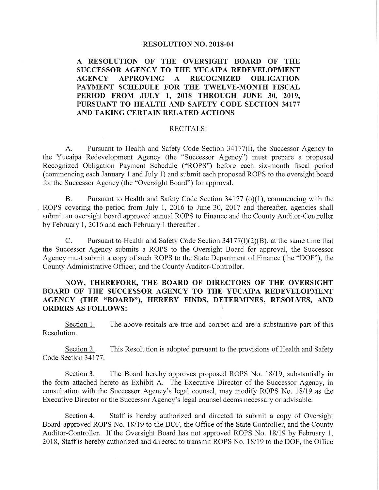#### **RESOLUTION NO. 2018-04**

A RESOLUTION OF THE OVERSIGHT BOARD OF THE SUCCESSOR AGENCY TO THE YUCAIPA REDEVELOPMENT **AGENCY APPROVING RECOGNIZED**  $\mathbf{A}$ **OBLIGATION** PAYMENT SCHEDULE FOR THE TWELVE-MONTH FISCAL PERIOD FROM JULY 1, 2018 THROUGH JUNE 30, 2019, PURSUANT TO HEALTH AND SAFETY CODE SECTION 34177 AND TAKING CERTAIN RELATED ACTIONS

#### RECITALS:

Pursuant to Health and Safety Code Section 34177(1), the Successor Agency to  $A_{\cdot}$ the Yucaipa Redevelopment Agency (the "Successor Agency") must prepare a proposed Recognized Obligation Payment Schedule ("ROPS") before each six-month fiscal period (commencing each January 1 and July 1) and submit each proposed ROPS to the oversight board for the Successor Agency (the "Oversight Board") for approval.

Pursuant to Health and Safety Code Section 34177 (o)(1), commencing with the **B.** ROPS covering the period from July 1, 2016 to June 30, 2017 and thereafter, agencies shall submit an oversight board approved annual ROPS to Finance and the County Auditor-Controller by February 1, 2016 and each February 1 thereafter.

 $C_{\cdot}$ Pursuant to Health and Safety Code Section 34177(1)(2)(B), at the same time that the Successor Agency submits a ROPS to the Oversight Board for approval, the Successor Agency must submit a copy of such ROPS to the State Department of Finance (the "DOF"), the County Administrative Officer, and the County Auditor-Controller.

### NOW, THEREFORE, THE BOARD OF DIRECTORS OF THE OVERSIGHT BOARD OF THE SUCCESSOR AGENCY TO THE YUCAIPA REDEVELOPMENT AGENCY (THE "BOARD"), HEREBY FINDS, DETERMINES, RESOLVES, AND **ORDERS AS FOLLOWS:**

The above recitals are true and correct and are a substantive part of this Section 1. Resolution.

Section 2. This Resolution is adopted pursuant to the provisions of Health and Safety Code Section 34177.

The Board hereby approves proposed ROPS No. 18/19, substantially in Section 3. the form attached hereto as Exhibit A. The Executive Director of the Successor Agency, in consultation with the Successor Agency's legal counsel, may modify ROPS No. 18/19 as the Executive Director or the Successor Agency's legal counsel deems necessary or advisable.

Section 4. Staff is hereby authorized and directed to submit a copy of Oversight Board-approved ROPS No. 18/19 to the DOF, the Office of the State Controller, and the County Auditor-Controller. If the Oversight Board has not approved ROPS No. 18/19 by February 1, 2018, Staff is hereby authorized and directed to transmit ROPS No. 18/19 to the DOF, the Office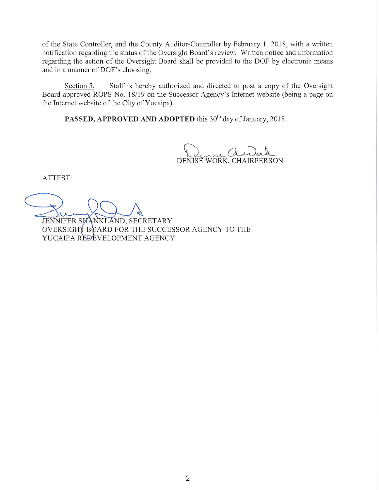of the State Controller, and the County Auditor-Controller by February 1, 2018, with a written notification regarding the status of the Oversight Board's review. Written notice and information regarding the action of the Oversight Board shall be provided to the DOF by electronic means and in a manner of DOF's choosing.

Section 5. Staff is hereby authorized and directed to post a copy of the Oversight Board-approved ROPS No. 18/19 on the Successor Agency's Internet website (being a page on the Internet website of the City of Yucaipa).

PASSED, APPROVED AND ADOPTED this 30<sup>th</sup> day of January, 2018.

DENISE WORK, CHAIRPERSON

ATTEST:

JENNIFER SHANKLAND, SECRETARY OVERSIGHT BOARD FOR THE SUCCESSOR AGENCY TO THE YUCAIPA REDEVELOPMENT AGENCY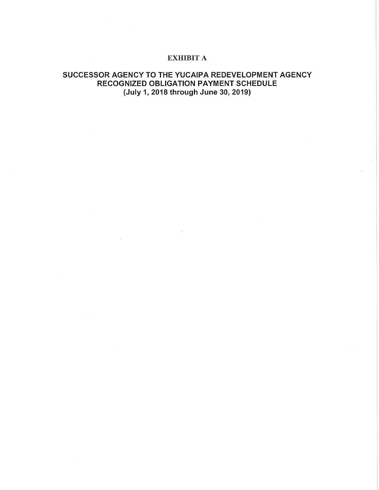## **EXHIBIT A**

### SUCCESSOR AGENCY TO THE YUCAIPA REDEVELOPMENT AGENCY RECOGNIZED OBLIGATION PAYMENT SCHEDULE (July 1, 2018 through June 30, 2019)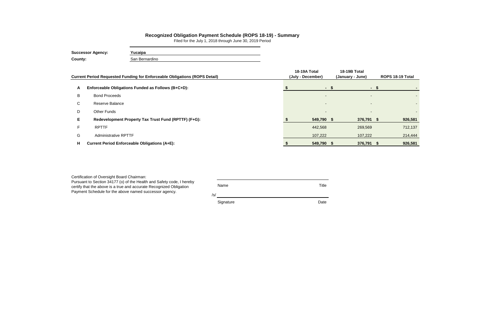| <b>18-19B Total</b><br>(January - June) | ROPS 18-19 Total |
|-----------------------------------------|------------------|
|                                         | \$               |
|                                         |                  |
|                                         |                  |
|                                         |                  |
| 376,791                                 | \$<br>926,581    |
| 269,569                                 | 712,137          |
| 107,222                                 | 214,444          |
| 376,791                                 | \$<br>926,581    |

| Certification of Oversight Board Chairman:<br>Pursuant to Section 34177 (o) of the Health and Safety code, I hereby<br>certify that the above is a true and accurate Recognized Obligation<br>Payment Schedule for the above named successor agency. | Name      | Title |
|------------------------------------------------------------------------------------------------------------------------------------------------------------------------------------------------------------------------------------------------------|-----------|-------|
|                                                                                                                                                                                                                                                      | /s/       |       |
|                                                                                                                                                                                                                                                      | Signature | Date  |

| <b>Successor Agency:</b><br>County: |                             | Yucaipa                                                                    |                                   |                                  |        |                  |
|-------------------------------------|-----------------------------|----------------------------------------------------------------------------|-----------------------------------|----------------------------------|--------|------------------|
|                                     |                             | San Bernardino                                                             |                                   |                                  |        |                  |
|                                     |                             | Current Period Requested Funding for Enforceable Obligations (ROPS Detail) | 18-19A Total<br>(July - December) | 18-19B Total<br>(January - June) |        | ROPS 18-19 Total |
| A                                   |                             | Enforceable Obligations Funded as Follows (B+C+D):                         | - \$                              |                                  | $-$ \$ |                  |
| B                                   | <b>Bond Proceeds</b>        |                                                                            |                                   |                                  |        |                  |
| С                                   | Reserve Balance             |                                                                            | $\overline{\phantom{0}}$          | $\overline{a}$                   |        |                  |
| D                                   | Other Funds                 |                                                                            | $\overline{\phantom{0}}$          | $\overline{a}$                   |        |                  |
| Е                                   |                             | Redevelopment Property Tax Trust Fund (RPTTF) (F+G):                       | 549,790 \$                        | 376,791 \$                       |        | 926,581          |
| F                                   | <b>RPTTF</b>                |                                                                            | 442,568                           | 269,569                          |        | 712,137          |
| G                                   | <b>Administrative RPTTF</b> |                                                                            | 107,222                           | 107,222                          |        | 214,444          |
| н                                   |                             | <b>Current Period Enforceable Obligations (A+E):</b>                       | 549,790 \$                        | 376,791 \$                       |        | 926,581          |

### **Recognized Obligation Payment Schedule (ROPS 18-19) - Summary**

Filed for the July 1, 2018 through June 30, 2019 Period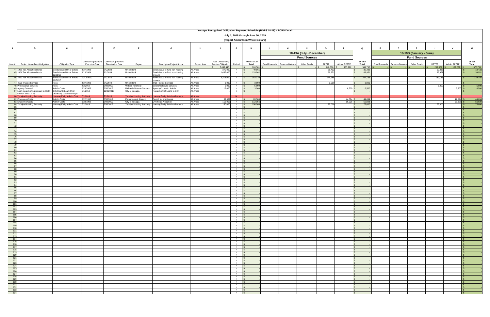|                                                                                                                 | Yucaipa Recognized Obligation Payment Schedule (ROPS 18-19) - ROPS Detail                         |                                                        |                        |                         |                          |                                                                                    |                               |                                 |                                  |                                   |              |                               |             |                                 |                         |                  |   |                               |             |                     |                        |                               |
|-----------------------------------------------------------------------------------------------------------------|---------------------------------------------------------------------------------------------------|--------------------------------------------------------|------------------------|-------------------------|--------------------------|------------------------------------------------------------------------------------|-------------------------------|---------------------------------|----------------------------------|-----------------------------------|--------------|-------------------------------|-------------|---------------------------------|-------------------------|------------------|---|-------------------------------|-------------|---------------------|------------------------|-------------------------------|
| July 1, 2018 through June 30, 2019                                                                              |                                                                                                   |                                                        |                        |                         |                          |                                                                                    |                               |                                 |                                  |                                   |              |                               |             |                                 |                         |                  |   |                               |             |                     |                        |                               |
|                                                                                                                 |                                                                                                   |                                                        |                        |                         |                          |                                                                                    |                               |                                 |                                  | (Report Amounts in Whole Dollars) |              |                               |             |                                 |                         |                  |   |                               |             |                     |                        |                               |
| $\mathsf{A}$                                                                                                    | $\mathbf{B}$                                                                                      | $\mathbf c$                                            | D                      |                         | E                        | G                                                                                  | H                             |                                 | J                                | к                                 | $\mathbf{L}$ | M                             |             |                                 | $\mathbf Q$             |                  | R |                               |             |                     | $\mathbf v$            | W                             |
|                                                                                                                 |                                                                                                   |                                                        |                        |                         |                          |                                                                                    |                               |                                 |                                  |                                   |              |                               |             |                                 |                         |                  |   |                               |             |                     |                        |                               |
|                                                                                                                 | 18-19A (July - December)<br>18-19B (January - June)<br><b>Fund Sources</b><br><b>Fund Sources</b> |                                                        |                        |                         |                          |                                                                                    |                               |                                 |                                  |                                   |              |                               |             |                                 |                         |                  |   |                               |             |                     |                        |                               |
|                                                                                                                 |                                                                                                   |                                                        | Contract/Agreement     | Contract/Agreement      |                          |                                                                                    |                               | <b>Total Outstanding</b>        |                                  | ROPS 18-19                        |              |                               |             |                                 | 18-19A                  |                  |   |                               |             |                     |                        | 18-19B                        |
| Item#                                                                                                           | Project Name/Debt Obligation                                                                      | Obligation Type                                        | <b>Execution Date</b>  | <b>Termination Date</b> | Payee                    | <b>Description/Project Scope</b>                                                   | Project Area                  | Debt or Obligation<br>7,692,445 | Retired                          | <b>Total</b><br>926,581           |              | Bond Proceeds Reserve Balance | Other Funds | RPTTF<br>Admin RPTTF<br>442,568 | <b>Total</b><br>107,222 | 549,790          |   | Bond Proceeds Reserve Balance | Other Funds | RPTTF<br>269,569 \$ | Admin RPTTF<br>107,222 | Total<br>376,791              |
|                                                                                                                 | 44 1998 Tax Allocation Bonds<br>45 2004 Tax Allocation Bonds                                      | Bonds Issued On or Before<br>Bonds Issued On or Before | 4/27/1998<br>9/13/2004 | 9/1/2028<br>9/1/2034    | Union Bank<br>Union Bank | Bonds issue to fund non-housing<br>Bonds issue to fund non-housing                 | All Areas<br>All Areas        | 370,00                          | $N$ \$<br>N                      | 40,865<br>129,902                 |              |                               |             | 30,432<br>89,951                |                         | 30,432<br>89,951 |   |                               |             | 10,433<br>39,951    |                        | $\frac{10,433}{39,951}$       |
|                                                                                                                 | 46 2010 Tax Allocation Bonds                                                                      | 12/31/10<br>Bonds Issued On or Before                  | 10/11/2010             | 9/1/2040                | <b>Union Bank</b>        | roiects<br>Bonds issue to fund non-housing                                         | All Areas                     | 5,315,00                        | N                                | 383,370                           |              |                               |             | 244,185                         |                         | 244,185          |   |                               |             | 139,185             |                        | 139,185                       |
|                                                                                                                 | 47 TAB Trustee Services                                                                           | 12/31/10<br>Fees                                       | 4/27/1998              | 9/1/2040                | Union Bank               | roiects<br><b>TAB Trustee Services</b>                                             | All Areas                     | 3,000                           | N                                | 3,000                             |              |                               |             | 3,000                           |                         | 3,000            |   |                               |             |                     |                        |                               |
|                                                                                                                 | 48 Professional Services<br>49 Agency Counsel                                                     | Fees<br>Admin Costs                                    | /2/2010<br>6/29/2006   | 6/30/2019<br>6/30/2019  | <b>Nilldan Financial</b> | <b>Bond Disclosure Services</b><br>Richards Watson Gershon Agency Counsel - Admin  | All Areas<br>All Areas        | 5,000<br>13,000                 | N<br>N                           | 5.000<br>13,000                   |              |                               |             |                                 | 6,500                   | 6,500            |   |                               |             | 5,000               | 6,500                  | 5,000<br>6,500                |
|                                                                                                                 | 57 Loan repayments pursuant to HSC<br>section 34191.4 (b)                                         | City/County Loan (Prior<br>06/28/11), Cash exchange    | 1/1/2013               | 12/31/2018              | City of Yucaipa          | Repayment of Loans to City                                                         | All Areas                     |                                 | Y                                |                                   |              |                               |             |                                 |                         |                  |   |                               |             |                     |                        |                               |
|                                                                                                                 | 60 Yucaipa Housing Authority<br>62 Employee Costs                                                 | <b>Housing Entity Admin Cost</b><br><b>Admin Costs</b> | 7/1/2014<br>6/22/1992  | 7/1/2018<br>6/30/2019   | mployees of Agency       | ucaipa Housing Authority   Housing Entity Admin Allowance<br>Payroll for employees | <b>All Areas</b><br>All Areas | 89,38                           | N<br>N                           | 89,388                            |              |                               |             |                                 | 44,694                  | 44,694           |   |                               |             |                     | 44,694                 | 44,694                        |
|                                                                                                                 | 63 Employee Costs                                                                                 | Admin Costs                                            | 6/22/1992              | 6/30/2019               | City of Yucaipa          | Overhead Allocation                                                                | All Areas                     | 112,056                         | N                                | 112,056                           |              |                               |             |                                 | 56,028                  | 56,028           |   |                               |             |                     | 56,028                 | 56,028                        |
| 65                                                                                                              | 64 Yucaipa Housing Authority                                                                      | Housing Entity Admin Cost                              | 7/1/2014               | 6/30/2019               |                          | Yucaipa Housing Authority Housing Entity Admin Allowance                           | All Areas                     | 150,000                         | N <sub>\$</sub><br>$N$ \$        | 150,000                           |              |                               |             | 75,000                          |                         | 75,000           |   |                               |             | 75,000              |                        | 75,000                        |
| 66<br>67                                                                                                        |                                                                                                   |                                                        |                        |                         |                          |                                                                                    |                               |                                 | $N$ $S$<br>$N$ $\sqrt{S}$        |                                   |              |                               |             |                                 |                         |                  |   |                               |             |                     |                        |                               |
| 68<br>69                                                                                                        |                                                                                                   |                                                        |                        |                         |                          |                                                                                    |                               |                                 | $N$ $\sqrt{S}$<br>$N$ \$         |                                   |              |                               |             |                                 |                         |                  |   |                               |             |                     |                        | $\mathbf{s}$<br>$\mathcal{S}$ |
| $\overline{7}$                                                                                                  |                                                                                                   |                                                        |                        |                         |                          |                                                                                    |                               |                                 | $N$ $S$<br>$N$ $\sqrt{s}$        |                                   |              |                               |             |                                 |                         |                  |   |                               |             |                     |                        |                               |
| 72                                                                                                              |                                                                                                   |                                                        |                        |                         |                          |                                                                                    |                               |                                 | $N$ $S$                          |                                   |              |                               |             |                                 |                         |                  |   |                               |             |                     |                        | $\mathsf{S}$                  |
| 74                                                                                                              |                                                                                                   |                                                        |                        |                         |                          |                                                                                    |                               |                                 | $N$ \$                           |                                   |              |                               |             |                                 |                         |                  |   |                               |             |                     |                        | <b>S</b><br>- \$              |
| 7!                                                                                                              |                                                                                                   |                                                        |                        |                         |                          |                                                                                    |                               |                                 | $N$ $\sqrt{S}$                   |                                   |              |                               |             |                                 |                         |                  |   |                               |             |                     |                        |                               |
| - 78                                                                                                            |                                                                                                   |                                                        |                        |                         |                          |                                                                                    |                               |                                 | $N$ \$<br>$N$ \$                 |                                   |              |                               |             |                                 |                         |                  |   |                               |             |                     |                        | $\mathcal{L}$                 |
| 7 <sup>7</sup>                                                                                                  |                                                                                                   |                                                        |                        |                         |                          |                                                                                    |                               |                                 | $N$ $S$                          |                                   |              |                               |             |                                 |                         |                  |   |                               |             |                     |                        |                               |
| 80<br>81                                                                                                        |                                                                                                   |                                                        |                        |                         |                          |                                                                                    |                               |                                 | $N$ $\sqrt{S}$<br>$N$ \$         |                                   |              |                               |             |                                 |                         |                  |   |                               |             |                     |                        | $\sim$                        |
| 82<br>83                                                                                                        |                                                                                                   |                                                        |                        |                         |                          |                                                                                    |                               |                                 | $N$ \$<br>$N$ \$                 |                                   |              |                               |             |                                 |                         |                  |   |                               |             |                     |                        | IS.<br>S.                     |
| 84<br>85                                                                                                        |                                                                                                   |                                                        |                        |                         |                          |                                                                                    |                               |                                 | $N$ $\sqrt{S}$<br>$N$ $S$        |                                   |              |                               |             |                                 |                         |                  |   |                               |             |                     |                        | IS.<br>$\mathbb{R}$           |
| 86<br>87                                                                                                        |                                                                                                   |                                                        |                        |                         |                          |                                                                                    |                               |                                 | $N$ $S$<br>$N$ \$                |                                   |              |                               |             |                                 |                         |                  |   |                               |             |                     |                        |                               |
| 88                                                                                                              |                                                                                                   |                                                        |                        |                         |                          |                                                                                    |                               |                                 | $N$ $\sqrt{S}$                   |                                   |              |                               |             |                                 |                         |                  |   |                               |             |                     |                        | IS.                           |
| R <sup>0</sup><br>$-90$                                                                                         |                                                                                                   |                                                        |                        |                         |                          |                                                                                    |                               |                                 | $N$ \$<br>$N$ $S$                |                                   |              |                               |             |                                 |                         |                  |   |                               |             |                     |                        | $\mathbb{R}$<br>$\mathsf{S}$  |
| 91<br>92                                                                                                        |                                                                                                   |                                                        |                        |                         |                          |                                                                                    |                               |                                 | $N$ \$<br>$N$ $\sqrt{S}$         |                                   |              |                               |             |                                 |                         |                  |   |                               |             |                     |                        | <b>S</b><br><b>S</b>          |
| 93<br>94                                                                                                        |                                                                                                   |                                                        |                        |                         |                          |                                                                                    |                               |                                 | $N$ $S$<br>$N$ $S$               |                                   |              |                               |             |                                 |                         |                  |   |                               |             |                     |                        | $\mathbb{R}$<br>$\mathbb{R}$  |
| 95                                                                                                              |                                                                                                   |                                                        |                        |                         |                          |                                                                                    |                               |                                 | $N$ $S$                          |                                   |              |                               |             |                                 |                         |                  |   |                               |             |                     |                        |                               |
| 96<br>97                                                                                                        |                                                                                                   |                                                        |                        |                         |                          |                                                                                    |                               |                                 | N <sub>S</sub><br>$N$ $\sqrt{S}$ |                                   |              |                               |             |                                 |                         |                  |   |                               |             |                     |                        | - S<br>IS.                    |
| $\alpha$                                                                                                        |                                                                                                   |                                                        |                        |                         |                          |                                                                                    |                               |                                 | $N$ $S$<br>$N$ $S$               |                                   |              |                               |             |                                 |                         |                  |   |                               |             |                     |                        | $\mathsf{S}$<br>-SS           |
| 100<br>101                                                                                                      |                                                                                                   |                                                        |                        |                         |                          |                                                                                    |                               |                                 | $N$ $\sqrt{S}$<br>$N$ $\sqrt{S}$ |                                   |              |                               |             |                                 |                         |                  |   |                               |             |                     |                        | - \$<br>$\mathsf{S}$          |
| 102<br>103                                                                                                      |                                                                                                   |                                                        |                        |                         |                          |                                                                                    |                               |                                 | $N$ $\sqrt{s}$<br>$N$ \$         |                                   |              |                               |             |                                 |                         |                  |   |                               |             |                     |                        |                               |
| 104                                                                                                             |                                                                                                   |                                                        |                        |                         |                          |                                                                                    |                               |                                 | N <sub>S</sub>                   |                                   |              |                               |             |                                 |                         |                  |   |                               |             |                     |                        |                               |
| $\begin{array}{r}\n105 \\ \hline\n106 \\ \hline\n107\n\end{array}$                                              |                                                                                                   |                                                        |                        |                         |                          |                                                                                    |                               |                                 | $N$ \$<br>$N$ \$                 |                                   |              |                               |             |                                 |                         |                  |   |                               |             |                     |                        | $\sqrt{S}$<br>$\mathsf{S}$    |
| 108                                                                                                             |                                                                                                   |                                                        |                        |                         |                          |                                                                                    |                               |                                 | $N$ $\sqrt{S}$<br>$N$ $\sqrt{S}$ |                                   |              |                               |             |                                 |                         |                  |   |                               |             |                     |                        |                               |
| 109                                                                                                             |                                                                                                   |                                                        |                        |                         |                          |                                                                                    |                               |                                 | $N$ \$<br>$N$ \$                 |                                   |              |                               |             |                                 |                         |                  |   |                               |             |                     |                        | IS.<br>$\mathsf{S}$           |
| $\begin{array}{r} 110 \\ \underline{111} \\ 112 \end{array}$                                                    |                                                                                                   |                                                        |                        |                         |                          |                                                                                    |                               |                                 | $N$ \$                           |                                   |              |                               |             |                                 |                         |                  |   |                               |             |                     |                        | IS.                           |
| 113                                                                                                             |                                                                                                   |                                                        |                        |                         |                          |                                                                                    |                               |                                 | $N$ \$<br>$N$ \$                 |                                   |              |                               |             |                                 |                         |                  |   |                               |             |                     |                        | - 56<br>IS.                   |
| 114<br>$\frac{115}{116}$                                                                                        |                                                                                                   |                                                        |                        |                         |                          |                                                                                    |                               |                                 | $N$ \$<br>$N$ \$                 |                                   |              |                               |             |                                 |                         |                  |   |                               |             |                     |                        | $\sqrt{S}$<br>$\sqrt{s}$      |
| 117                                                                                                             |                                                                                                   |                                                        |                        |                         |                          |                                                                                    |                               |                                 | $N$ $\sqrt{S}$<br>$N$ \$         |                                   |              |                               |             |                                 |                         |                  |   |                               |             |                     |                        | $\mathbb{R}$                  |
| $\frac{118}{119}$                                                                                               |                                                                                                   |                                                        |                        |                         |                          |                                                                                    |                               |                                 | $N$ $\sqrt{S}$                   |                                   |              |                               |             |                                 |                         |                  |   |                               |             |                     |                        | $\mathbf{s}$                  |
| $\frac{120}{121}$                                                                                               |                                                                                                   |                                                        |                        |                         |                          |                                                                                    |                               |                                 | $N$ \$<br>$N$ $\sqrt{S}$         |                                   |              |                               |             |                                 |                         |                  |   |                               |             |                     |                        | $\mathsf{S}$<br>IS.           |
| 122                                                                                                             |                                                                                                   |                                                        |                        |                         |                          |                                                                                    |                               |                                 | N \$<br>$N$ \$                   |                                   |              |                               |             |                                 |                         |                  |   |                               |             |                     |                        | $\mathsf{S}$                  |
| $\begin{array}{r} \hline 123 \\ 124 \\ 125 \end{array}$                                                         |                                                                                                   |                                                        |                        |                         |                          |                                                                                    |                               |                                 | $N$ \$<br><b>N</b> \$            |                                   |              |                               |             |                                 |                         |                  |   |                               |             |                     |                        | $\sqrt{3}$<br><b>S</b>        |
|                                                                                                                 |                                                                                                   |                                                        |                        |                         |                          |                                                                                    |                               |                                 | $N$ \$<br>$N$ $S$                |                                   |              |                               |             |                                 |                         |                  |   |                               |             |                     |                        | IS.<br>$\mathsf{S}$           |
| $\frac{126}{127}$                                                                                               |                                                                                                   |                                                        |                        |                         |                          |                                                                                    |                               |                                 | $N$ \$                           |                                   |              |                               |             |                                 |                         |                  |   |                               |             |                     |                        | $\sqrt{s}$                    |
| $\frac{128}{129}$                                                                                               |                                                                                                   |                                                        |                        |                         |                          |                                                                                    |                               |                                 | $N$ \$<br>$N$ $\sqrt{S}$         |                                   |              |                               |             |                                 |                         |                  |   |                               |             |                     |                        | $\mathcal{S}$                 |
| $\begin{array}{r}\n 130 \\  \hline\n 131 \\  \underline{132} \\  133 \\  \underline{133} \\  134\n \end{array}$ |                                                                                                   |                                                        |                        |                         |                          |                                                                                    |                               |                                 | $N$ $\sqrt{S}$<br>$N$ \$         |                                   |              |                               |             |                                 |                         |                  |   |                               |             |                     |                        | $\mathbb{R}$                  |
|                                                                                                                 |                                                                                                   |                                                        |                        |                         |                          |                                                                                    |                               |                                 | N <sub>\$</sub><br>N \$          |                                   |              |                               |             |                                 |                         |                  |   |                               |             |                     |                        | <b>S</b>                      |
|                                                                                                                 |                                                                                                   |                                                        |                        |                         |                          |                                                                                    |                               |                                 | $N$ \$                           |                                   |              |                               |             |                                 |                         |                  |   |                               |             |                     |                        | IS .<br>IS.                   |